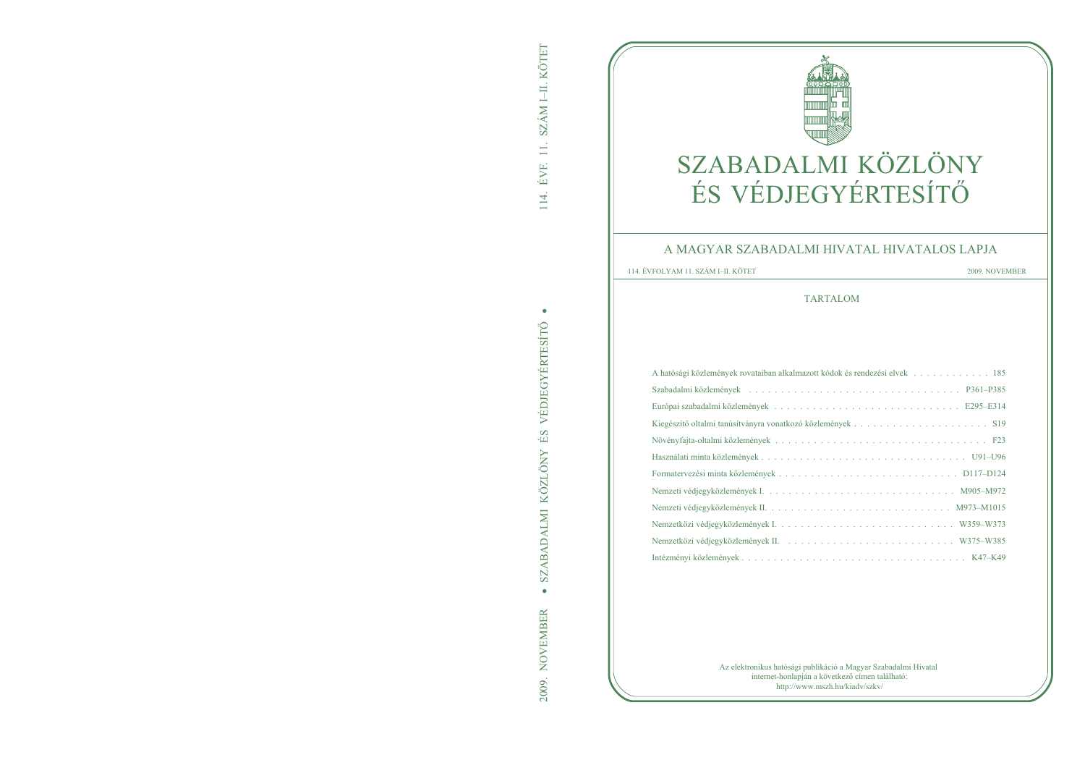# SZABADALMI KÖZLÖNY ÉS VÉDJEGYÉRTESÍTÕ

# A MAGYAR SZABADALMI HIVATAL HIVATALOS LAPJA

114. ÉVFOLYAM 11. SZÁM I–II. KÖTET 2009. NOVEMBER

| A hatósági közlemények rovataiban alkalmazo   |
|-----------------------------------------------|
| Szabadalmi közlemények                        |
| Európai szabadalmi közlemények                |
| Kiegészítő oltalmi tanúsítványra vonatkozó kö |
| Növényfajta-oltalmi közlemények               |
| Használati minta közlemények                  |
| Formatervezési minta közlemények              |
| Nemzeti védjegyközlemények I.                 |
| Nemzeti védjegyközlemények II.                |
| Nemzetközi védjegyközlemények I.              |
| Nemzetközi védjegyközlemények II.             |
| Intézményi közlemények                        |
|                                               |

## TARTALOM

| A hatósági közlemények rovataiban alkalmazott kódok és rendezési elvek 185                                     |
|----------------------------------------------------------------------------------------------------------------|
|                                                                                                                |
|                                                                                                                |
|                                                                                                                |
|                                                                                                                |
|                                                                                                                |
|                                                                                                                |
|                                                                                                                |
|                                                                                                                |
|                                                                                                                |
| Nemzetközi védjegyközlemények II. (Charles Alexandre Alexandre Alexandre Alexandre Alexandre Alexandre Alexand |
|                                                                                                                |
|                                                                                                                |

Az elektronikus hatósági publikáció a Magyar Szabadalmi Hivatal internet-honlapján a következõ címen található: http://www.mszh.hu/kiadv/szkv/





SZABADALMI KÖZLÖNY ÉS VÉDJEGYÉRTESÍTÕ -

SZABADALMI KÖZLÖNY ÉS VÉDJEGYÉRTESÍTŐ

 $\bullet$ 

2009. NOVEMBER

 $\bullet$